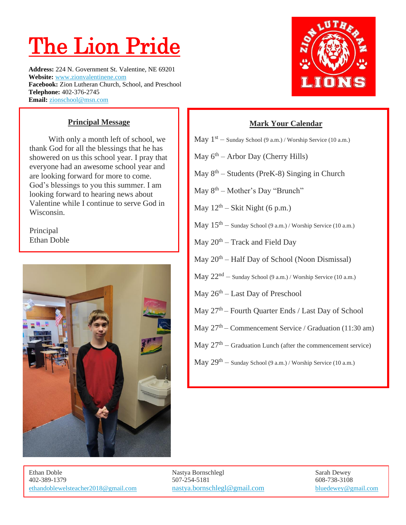## The Lion Pride

**Address:** 224 N. Government St. Valentine, NE 69201 **Website:** [www.zionvalentinene.com](http://www.zionvalentinene.com/) **Facebook:** Zion Lutheran Church, School, and Preschool **Telephone:** 402-376-2745 **Email:** [zionschool@msn.com](mailto:zionschool@msn.c#om)



With only a month left of school, we thank God for all the blessings that he has showered on us this school year. I pray that everyone had an awesome school year and are looking forward for more to come. God's blessings to you this summer. I am looking forward to hearing news about Valentine while I continue to serve God in Wisconsin.

Principal Ethan Doble





## **Mark Your Calendar**

- May  $1<sup>st</sup>$  Sunday School (9 a.m.) / Worship Service (10 a.m.)
- May  $6<sup>th</sup>$  Arbor Day (Cherry Hills)
- May  $8<sup>th</sup>$  Students (PreK-8) Singing in Church
- May  $8<sup>th</sup>$  Mother's Day "Brunch"
- May  $12<sup>th</sup> Skit Night (6 p.m.)$
- $\rm{May\ }15^{th} \rm{Sunday\ School}$  (9 a.m.) / Worship Service (10 a.m.)
- May 20<sup>th</sup> Track and Field Day
- May 20<sup>th</sup> Half Day of School (Noon Dismissal)
- May 22nd Sunday School (9 a.m.) / Worship Service (10 a.m.)
- May 26<sup>th</sup> Last Day of Preschool
- May  $27<sup>th</sup>$  Fourth Quarter Ends / Last Day of School
- May  $27<sup>th</sup>$  Commencement Service / Graduation (11:30 am)
- May  $27<sup>th</sup>$  Graduation Lunch (after the commencement service)
- May 29th Sunday School (9 a.m.) / Worship Service (10 a.m.)

402-389-1379 507-254-5181 608-738-3108 [ethandoblewelsteacher2018@gmail.com](mailto:ethandoblewelsteacher2018@gmail.com) [nastya.bornschlegl@gmail.com](mailto:nastya.bornschlegl@gmail.com) bluedewey@gmail.com

Ethan Doble **Nastya Bornschlegl** Sarah Dewey